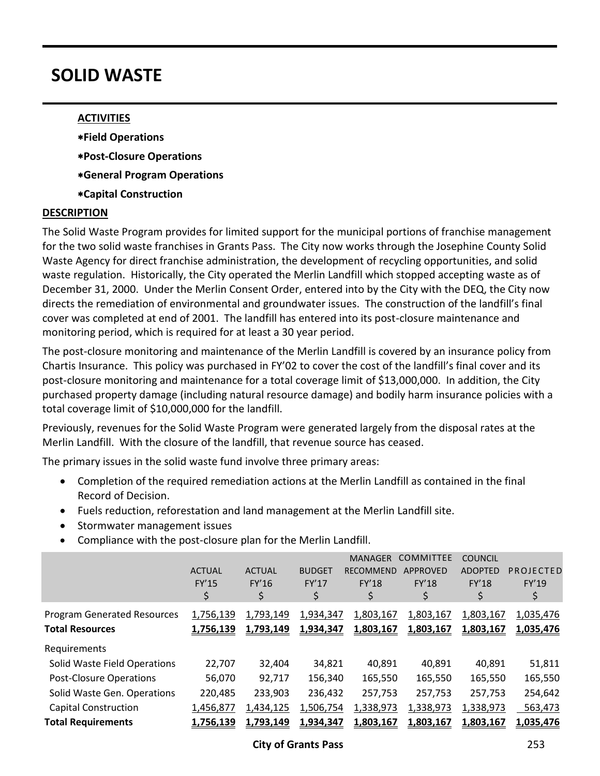# **SOLID WASTE**

## **ACTIVITIES**

- **Field Operations**
- **Post-Closure Operations**
- **General Program Operations**
- **Capital Construction**

### **DESCRIPTION**

The Solid Waste Program provides for limited support for the municipal portions of franchise management for the two solid waste franchises in Grants Pass. The City now works through the Josephine County Solid Waste Agency for direct franchise administration, the development of recycling opportunities, and solid waste regulation. Historically, the City operated the Merlin Landfill which stopped accepting waste as of December 31, 2000. Under the Merlin Consent Order, entered into by the City with the DEQ, the City now directs the remediation of environmental and groundwater issues. The construction of the landfill's final cover was completed at end of 2001. The landfill has entered into its post-closure maintenance and monitoring period, which is required for at least a 30 year period.

The post-closure monitoring and maintenance of the Merlin Landfill is covered by an insurance policy from Chartis Insurance. This policy was purchased in FY'02 to cover the cost of the landfill's final cover and its post-closure monitoring and maintenance for a total coverage limit of \$13,000,000. In addition, the City purchased property damage (including natural resource damage) and bodily harm insurance policies with a total coverage limit of \$10,000,000 for the landfill.

Previously, revenues for the Solid Waste Program were generated largely from the disposal rates at the Merlin Landfill. With the closure of the landfill, that revenue source has ceased.

The primary issues in the solid waste fund involve three primary areas:

- Completion of the required remediation actions at the Merlin Landfill as contained in the final Record of Decision.
- Fuels reduction, reforestation and land management at the Merlin Landfill site.
- Stormwater management issues
- Compliance with the post-closure plan for the Merlin Landfill.

|                                                              | <b>ACTUAL</b><br><b>FY'15</b><br>\$ | <b>ACTUAL</b><br>FY'16<br>\$ | <b>BUDGET</b><br>FY'17<br>\$ | <b>MANAGER</b><br><b>RECOMMEND</b><br><b>FY'18</b><br>\$ | <b>COMMITTEE</b><br>APPROVED<br><b>FY'18</b><br>\$ | <b>COUNCIL</b><br><b>ADOPTED</b><br><b>FY'18</b><br>\$ | PROJECTED<br>FY'19<br>\$ |
|--------------------------------------------------------------|-------------------------------------|------------------------------|------------------------------|----------------------------------------------------------|----------------------------------------------------|--------------------------------------------------------|--------------------------|
| <b>Program Generated Resources</b><br><b>Total Resources</b> | 1,756,139<br>1,756,139              | 1,793,149<br>1,793,149       | 1,934,347<br>1,934,347       | 1,803,167<br>1,803,167                                   | 1,803,167<br>1,803,167                             | 1,803,167<br>1,803,167                                 | 1,035,476<br>1,035,476   |
| Requirements                                                 |                                     |                              |                              |                                                          |                                                    |                                                        |                          |
| Solid Waste Field Operations                                 | 22,707                              | 32,404                       | 34,821                       | 40,891                                                   | 40,891                                             | 40,891                                                 | 51,811                   |
| <b>Post-Closure Operations</b>                               | 56,070                              | 92,717                       | 156,340                      | 165,550                                                  | 165,550                                            | 165,550                                                | 165,550                  |
| Solid Waste Gen. Operations                                  | 220,485                             | 233,903                      | 236,432                      | 257,753                                                  | 257,753                                            | 257,753                                                | 254,642                  |
| <b>Capital Construction</b>                                  | 1,456,877                           | 1,434,125                    | 1,506,754                    | 1,338,973                                                | 1,338,973                                          | 1,338,973                                              | 563,473                  |
| <b>Total Requirements</b>                                    | 1,756,139                           | 1,793,149                    | 1,934,347                    | 1,803,167                                                | 1,803,167                                          | 1,803,167                                              | 1,035,476                |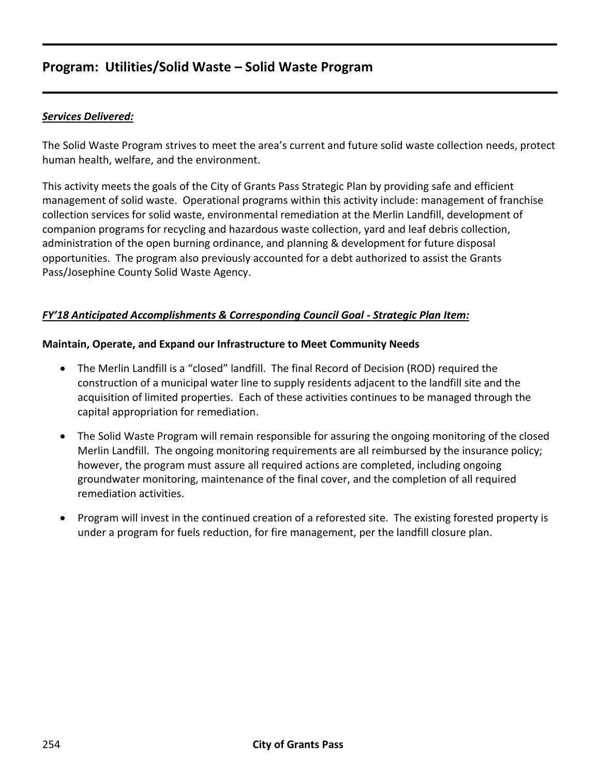## **Program: Utilities/Solid Waste – Solid Waste Program**

## *Services Delivered:*

The Solid Waste Program strives to meet the area's current and future solid waste collection needs, protect human health, welfare, and the environment.

This activity meets the goals of the City of Grants Pass Strategic Plan by providing safe and efficient management of solid waste. Operational programs within this activity include: management of franchise collection services for solid waste, environmental remediation at the Merlin Landfill, development of companion programs for recycling and hazardous waste collection, yard and leaf debris collection, administration of the open burning ordinance, and planning & development for future disposal opportunities. The program also previously accounted for a debt authorized to assist the Grants Pass/Josephine County Solid Waste Agency.

## *FY'18 Anticipated Accomplishments & Corresponding Council Goal - Strategic Plan Item:*

#### **Maintain, Operate, and Expand our Infrastructure to Meet Community Needs**

- The Merlin Landfill is a "closed" landfill. The final Record of Decision (ROD) required the construction of a municipal water line to supply residents adjacent to the landfill site and the acquisition of limited properties. Each of these activities continues to be managed through the capital appropriation for remediation.
- The Solid Waste Program will remain responsible for assuring the ongoing monitoring of the closed Merlin Landfill. The ongoing monitoring requirements are all reimbursed by the insurance policy; however, the program must assure all required actions are completed, including ongoing groundwater monitoring, maintenance of the final cover, and the completion of all required remediation activities.
- Program will invest in the continued creation of a reforested site. The existing forested property is under a program for fuels reduction, for fire management, per the landfill closure plan.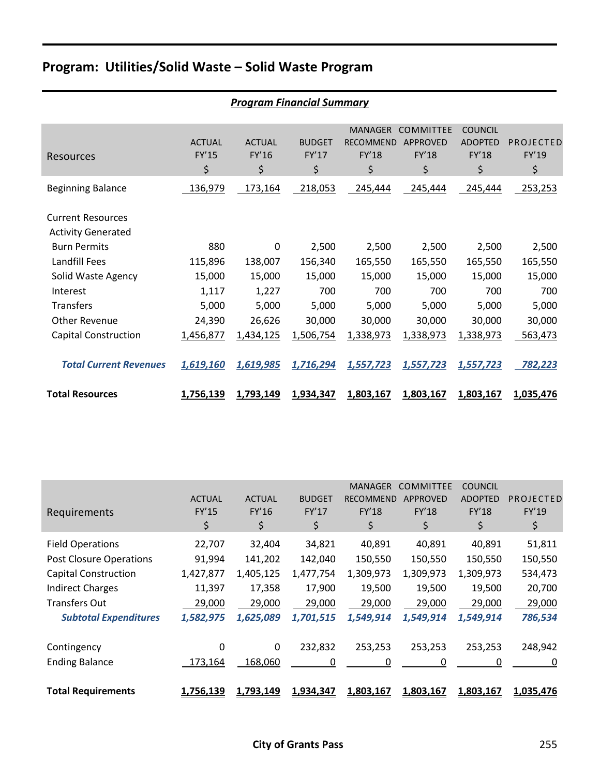# **Program: Utilities/Solid Waste – Solid Waste Program**

|                                                       |                              | <b>Program Financial Summary</b> |                              |                                                   |                                                    |                                                 |                                 |
|-------------------------------------------------------|------------------------------|----------------------------------|------------------------------|---------------------------------------------------|----------------------------------------------------|-------------------------------------------------|---------------------------------|
| Resources                                             | <b>ACTUAL</b><br>FY'15<br>\$ | <b>ACTUAL</b><br>FY'16<br>\$     | <b>BUDGET</b><br>FY'17<br>\$ | <b>MANAGER</b><br><b>RECOMMEND</b><br>FY'18<br>\$ | <b>COMMITTEE</b><br><b>APPROVED</b><br>FY'18<br>\$ | <b>COUNCIL</b><br><b>ADOPTED</b><br>FY'18<br>\$ | PROJECTED<br><b>FY'19</b><br>\$ |
| <b>Beginning Balance</b>                              | 136,979                      | 173,164                          | 218,053                      | 245,444                                           | 245,444                                            | 245,444                                         | 253,253                         |
| <b>Current Resources</b><br><b>Activity Generated</b> |                              |                                  |                              |                                                   |                                                    |                                                 |                                 |
| <b>Burn Permits</b>                                   | 880                          | $\mathbf{0}$                     | 2,500                        | 2,500                                             | 2,500                                              | 2,500                                           | 2,500                           |
| <b>Landfill Fees</b>                                  | 115,896                      | 138,007                          | 156,340                      | 165,550                                           | 165,550                                            | 165,550                                         | 165,550                         |
| Solid Waste Agency                                    | 15,000                       | 15,000                           | 15,000                       | 15,000                                            | 15,000                                             | 15,000                                          | 15,000                          |
| Interest                                              | 1,117                        | 1,227                            | 700                          | 700                                               | 700                                                | 700                                             | 700                             |
| <b>Transfers</b>                                      | 5,000                        | 5,000                            | 5,000                        | 5,000                                             | 5,000                                              | 5,000                                           | 5,000                           |
| <b>Other Revenue</b>                                  | 24,390                       | 26,626                           | 30,000                       | 30,000                                            | 30,000                                             | 30,000                                          | 30,000                          |
| <b>Capital Construction</b>                           | 1,456,877                    | 1,434,125                        | 1,506,754                    | 1,338,973                                         | 1,338,973                                          | 1,338,973                                       | 563,473                         |
| <b>Total Current Revenues</b>                         | 1,619,160                    | 1,619,985                        | 1,716,294                    | 1,557,723                                         | 1,557,723                                          | 1,557,723                                       | 782,223                         |
| <b>Total Resources</b>                                | <u>1,756,139</u>             | 1,793,149                        | 1,934,347                    | 1,803,167                                         | 1,803,167                                          | 1,803,167                                       | 1,035,476                       |

|                                |               |               |               | <b>MANAGER</b>   | <b>COMMITTEE</b> | <b>COUNCIL</b> |             |
|--------------------------------|---------------|---------------|---------------|------------------|------------------|----------------|-------------|
|                                | <b>ACTUAL</b> | <b>ACTUAL</b> | <b>BUDGET</b> | <b>RECOMMEND</b> | <b>APPROVED</b>  | <b>ADOPTED</b> | PROJECTED   |
| Requirements                   | <b>FY'15</b>  | FY'16         | FY'17         | FY'18            | FY'18            | <b>FY'18</b>   | FY'19       |
|                                | \$            | \$            | \$            | \$               | \$               | \$             | $\varsigma$ |
| <b>Field Operations</b>        | 22,707        | 32,404        | 34,821        | 40,891           | 40,891           | 40,891         | 51,811      |
| <b>Post Closure Operations</b> | 91,994        | 141,202       | 142,040       | 150,550          | 150,550          | 150,550        | 150,550     |
| <b>Capital Construction</b>    | 1,427,877     | 1,405,125     | 1,477,754     | 1,309,973        | 1,309,973        | 1,309,973      | 534,473     |
| <b>Indirect Charges</b>        | 11,397        | 17,358        | 17,900        | 19,500           | 19,500           | 19,500         | 20,700      |
| <b>Transfers Out</b>           | 29,000        | 29,000        | 29,000        | 29,000           | 29,000           | 29,000         | 29,000      |
| <b>Subtotal Expenditures</b>   | 1,582,975     | 1,625,089     | 1,701,515     | 1,549,914        | 1,549,914        | 1,549,914      | 786,534     |
|                                |               |               |               |                  |                  |                |             |
| Contingency                    | 0             | 0             | 232,832       | 253,253          | 253,253          | 253,253        | 248,942     |
| <b>Ending Balance</b>          | 173,164       | 168,060       | 0             | 0                | 0                | 0              | 0           |
| <b>Total Requirements</b>      | 1,756,139     | 1,793,149     | 1,934,347     | 1,803,167        | 1,803,167        | 1,803,167      | 1,035,476   |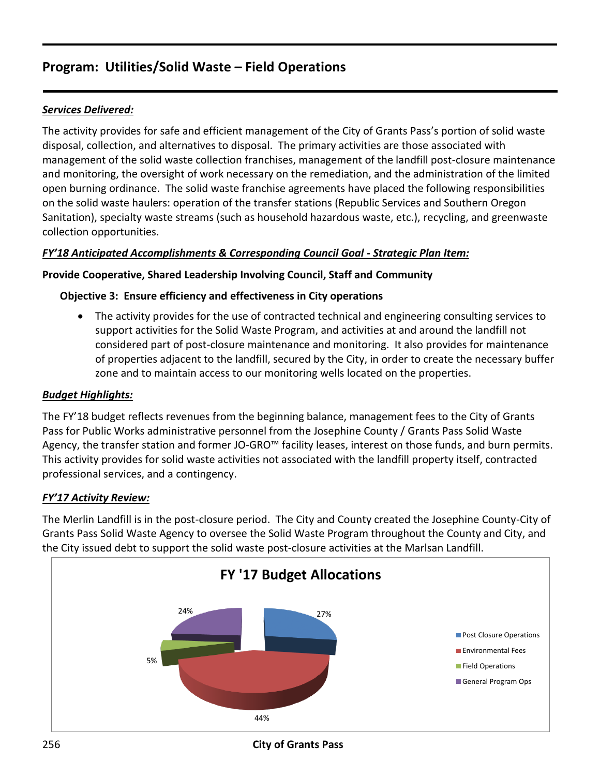## **Program: Utilities/Solid Waste – Field Operations**

## *Services Delivered:*

The activity provides for safe and efficient management of the City of Grants Pass's portion of solid waste disposal, collection, and alternatives to disposal. The primary activities are those associated with management of the solid waste collection franchises, management of the landfill post-closure maintenance and monitoring, the oversight of work necessary on the remediation, and the administration of the limited open burning ordinance. The solid waste franchise agreements have placed the following responsibilities on the solid waste haulers: operation of the transfer stations (Republic Services and Southern Oregon Sanitation), specialty waste streams (such as household hazardous waste, etc.), recycling, and greenwaste collection opportunities.

## *FY'18 Anticipated Accomplishments & Corresponding Council Goal - Strategic Plan Item:*

## **Provide Cooperative, Shared Leadership Involving Council, Staff and Community**

## **Objective 3: Ensure efficiency and effectiveness in City operations**

 The activity provides for the use of contracted technical and engineering consulting services to support activities for the Solid Waste Program, and activities at and around the landfill not considered part of post-closure maintenance and monitoring. It also provides for maintenance of properties adjacent to the landfill, secured by the City, in order to create the necessary buffer zone and to maintain access to our monitoring wells located on the properties.

## *Budget Highlights:*

The FY'18 budget reflects revenues from the beginning balance, management fees to the City of Grants Pass for Public Works administrative personnel from the Josephine County / Grants Pass Solid Waste Agency, the transfer station and former JO-GRO™ facility leases, interest on those funds, and burn permits. This activity provides for solid waste activities not associated with the landfill property itself, contracted professional services, and a contingency.

## *FY'17 Activity Review:*

The Merlin Landfill is in the post-closure period. The City and County created the Josephine County-City of Grants Pass Solid Waste Agency to oversee the Solid Waste Program throughout the County and City, and the City issued debt to support the solid waste post-closure activities at the Marlsan Landfill.



256 **City of Grants Pass**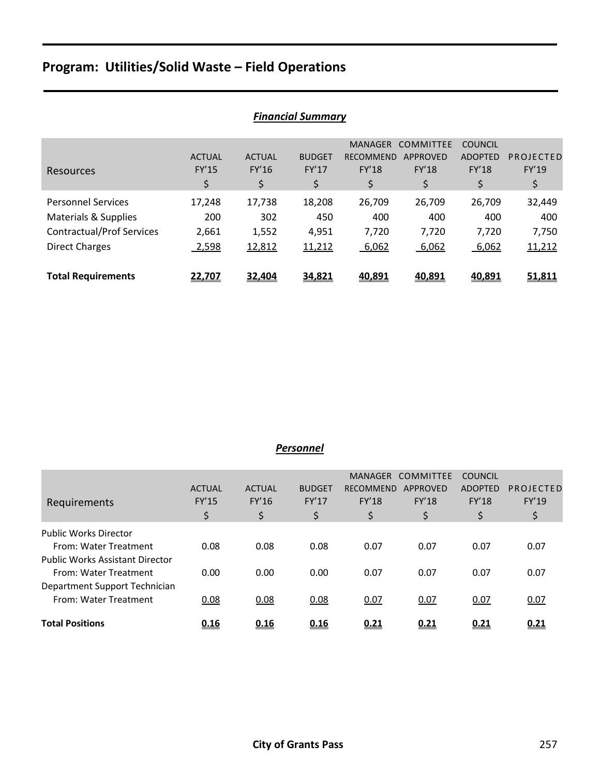# **Program: Utilities/Solid Waste – Field Operations**

|                                  |               |               | <u>THUHUU JUHIIIUI Y</u> |                  |                  |                |           |
|----------------------------------|---------------|---------------|--------------------------|------------------|------------------|----------------|-----------|
|                                  |               |               |                          | <b>MANAGER</b>   | <b>COMMITTEE</b> | <b>COUNCIL</b> |           |
|                                  | <b>ACTUAL</b> | <b>ACTUAL</b> | <b>BUDGET</b>            | <b>RECOMMEND</b> | <b>APPROVED</b>  | <b>ADOPTED</b> | PROJECTED |
| Resources                        | <b>FY'15</b>  | FY'16         | FY'17                    | <b>FY'18</b>     | FY'18            | <b>FY'18</b>   | FY'19     |
|                                  | \$            | \$            | \$                       | \$               | \$               | \$             | \$        |
| <b>Personnel Services</b>        | 17,248        | 17,738        | 18,208                   | 26,709           | 26,709           | 26,709         | 32,449    |
| Materials & Supplies             | 200           | 302           | 450                      | 400              | 400              | 400            | 400       |
| <b>Contractual/Prof Services</b> | 2,661         | 1,552         | 4,951                    | 7,720            | 7,720            | 7,720          | 7,750     |
| <b>Direct Charges</b>            | 2,598         | 12,812        | 11,212                   | 6,062            | 6,062            | 6,062          | 11,212    |
|                                  |               |               |                          |                  |                  |                |           |
| <b>Total Requirements</b>        | 22,707        | 32,404        | 34,821                   | 40,891           | 40,891           | 40,891         | 51,811    |

## *Financial Summary*

### *Personnel*

|                                        |               |               |               | <b>MANAGER</b>   | <b>COMMITTEE</b> | <b>COUNCIL</b> |           |
|----------------------------------------|---------------|---------------|---------------|------------------|------------------|----------------|-----------|
|                                        | <b>ACTUAL</b> | <b>ACTUAL</b> | <b>BUDGET</b> | <b>RECOMMEND</b> | APPROVED         | <b>ADOPTED</b> | PROJECTED |
| Requirements                           | <b>FY'15</b>  | FY'16         | <b>FY'17</b>  | <b>FY'18</b>     | <b>FY'18</b>     | <b>FY'18</b>   | FY'19     |
|                                        | \$            | \$            | \$            | \$               | \$               | \$             | \$        |
| <b>Public Works Director</b>           |               |               |               |                  |                  |                |           |
| From: Water Treatment                  | 0.08          | 0.08          | 0.08          | 0.07             | 0.07             | 0.07           | 0.07      |
| <b>Public Works Assistant Director</b> |               |               |               |                  |                  |                |           |
| From: Water Treatment                  | 0.00          | 0.00          | 0.00          | 0.07             | 0.07             | 0.07           | 0.07      |
| Department Support Technician          |               |               |               |                  |                  |                |           |
| From: Water Treatment                  | 0.08          | 0.08          | 0.08          | 0.07             | 0.07             | 0.07           | 0.07      |
|                                        |               |               |               |                  |                  |                |           |
| <b>Total Positions</b>                 | 0.16          | 0.16          | 0.16          | 0.21             | 0.21             | 0.21           | 0.21      |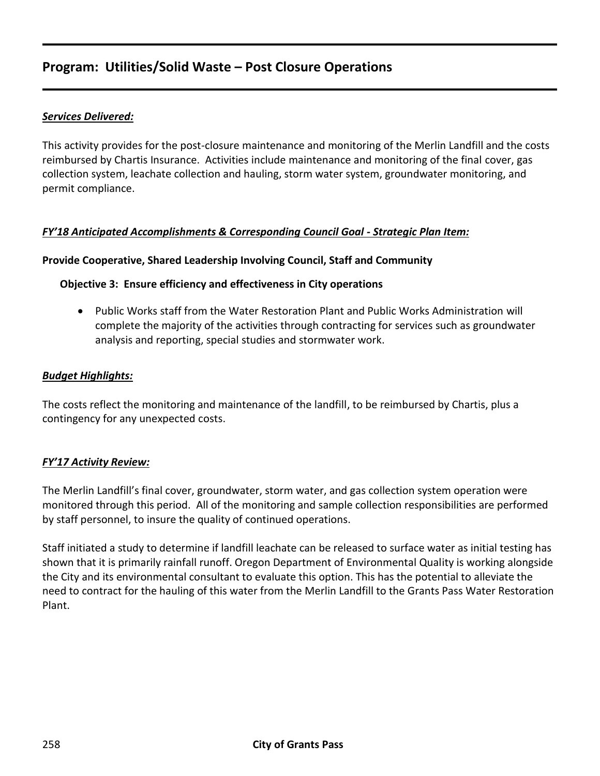## **Program: Utilities/Solid Waste – Post Closure Operations**

## *Services Delivered:*

This activity provides for the post-closure maintenance and monitoring of the Merlin Landfill and the costs reimbursed by Chartis Insurance. Activities include maintenance and monitoring of the final cover, gas collection system, leachate collection and hauling, storm water system, groundwater monitoring, and permit compliance.

### *FY'18 Anticipated Accomplishments & Corresponding Council Goal - Strategic Plan Item:*

#### **Provide Cooperative, Shared Leadership Involving Council, Staff and Community**

#### **Objective 3: Ensure efficiency and effectiveness in City operations**

 Public Works staff from the Water Restoration Plant and Public Works Administration will complete the majority of the activities through contracting for services such as groundwater analysis and reporting, special studies and stormwater work.

#### *Budget Highlights:*

The costs reflect the monitoring and maintenance of the landfill, to be reimbursed by Chartis, plus a contingency for any unexpected costs.

#### *FY'17 Activity Review:*

The Merlin Landfill's final cover, groundwater, storm water, and gas collection system operation were monitored through this period. All of the monitoring and sample collection responsibilities are performed by staff personnel, to insure the quality of continued operations.

Staff initiated a study to determine if landfill leachate can be released to surface water as initial testing has shown that it is primarily rainfall runoff. Oregon Department of Environmental Quality is working alongside the City and its environmental consultant to evaluate this option. This has the potential to alleviate the need to contract for the hauling of this water from the Merlin Landfill to the Grants Pass Water Restoration Plant.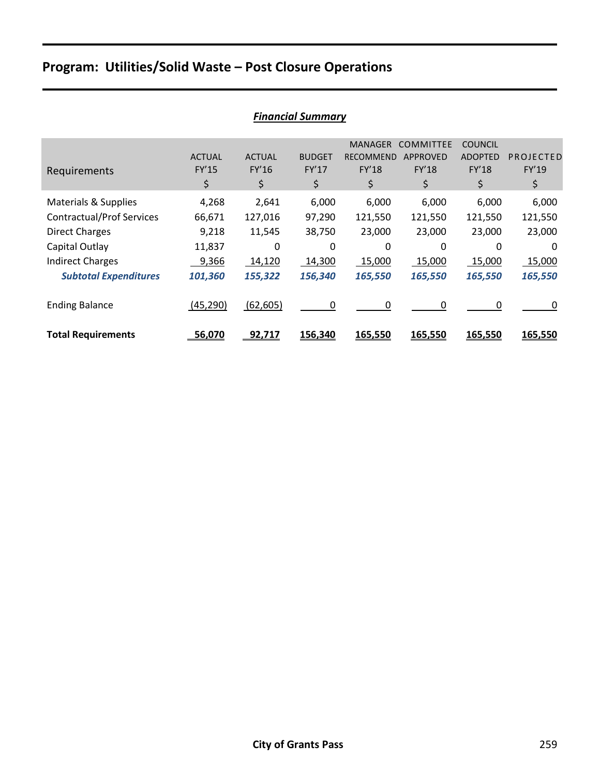# **Program: Utilities/Solid Waste – Post Closure Operations**

|                                  |               |               | Filiuliciul Juliililul y |                  |                 |                |           |
|----------------------------------|---------------|---------------|--------------------------|------------------|-----------------|----------------|-----------|
|                                  |               |               |                          | <b>MANAGER</b>   | COMMITTEE       | <b>COUNCIL</b> |           |
|                                  | <b>ACTUAL</b> | <b>ACTUAL</b> | <b>BUDGET</b>            | <b>RECOMMEND</b> | <b>APPROVED</b> | <b>ADOPTED</b> | PROJECTED |
| Requirements                     | FY'15         | FY'16         | FY'17                    | <b>FY'18</b>     | FY'18           | <b>FY'18</b>   | FY'19     |
|                                  | \$            | \$            | \$                       | \$               | \$              | \$             | \$        |
| <b>Materials &amp; Supplies</b>  | 4,268         | 2,641         | 6,000                    | 6,000            | 6,000           | 6,000          | 6,000     |
| <b>Contractual/Prof Services</b> | 66,671        | 127,016       | 97,290                   | 121,550          | 121,550         | 121,550        | 121,550   |
| <b>Direct Charges</b>            | 9,218         | 11,545        | 38,750                   | 23,000           | 23,000          | 23,000         | 23,000    |
| Capital Outlay                   | 11,837        | $\Omega$      | 0                        | 0                | 0               | 0              | $\Omega$  |
| <b>Indirect Charges</b>          | 9,366         | 14,120        | 14,300                   | 15,000           | 15,000          | 15,000         | 15,000    |
| <b>Subtotal Expenditures</b>     | 101,360       | 155,322       | 156,340                  | 165,550          | 165,550         | 165,550        | 165,550   |
| <b>Ending Balance</b>            | (45, 290)     | (62, 605)     | 0                        | 0                | 0               | 0              | 0         |
| <b>Total Requirements</b>        | 56,070        | 92,717        | 156,340                  | 165,550          | 165,550         | 165,550        | 165,550   |

## *Financial Summary*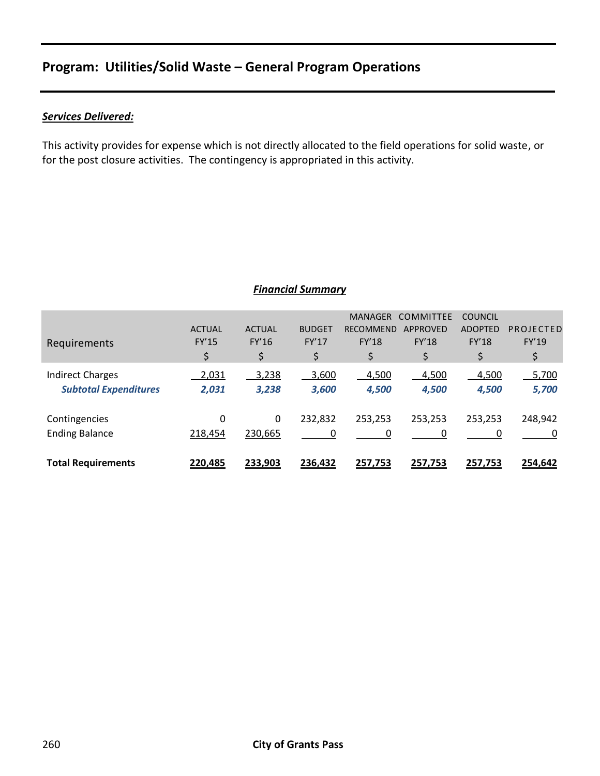## **Program: Utilities/Solid Waste – General Program Operations**

## *Services Delivered:*

This activity provides for expense which is not directly allocated to the field operations for solid waste, or for the post closure activities. The contingency is appropriated in this activity.

### *Financial Summary*

|                              |               |               |               | <b>MANAGER</b>   | <b>COMMITTEE</b> | <b>COUNCIL</b> |           |
|------------------------------|---------------|---------------|---------------|------------------|------------------|----------------|-----------|
|                              | <b>ACTUAL</b> | <b>ACTUAL</b> | <b>BUDGET</b> | <b>RECOMMEND</b> | <b>APPROVED</b>  | <b>ADOPTED</b> | PROJECTED |
| Requirements                 | <b>FY'15</b>  | <b>FY'16</b>  | <b>FY'17</b>  | FY'18            | FY'18            | <b>FY'18</b>   | FY'19     |
|                              | \$            | \$            | \$            | \$               | \$               | \$             | \$        |
| <b>Indirect Charges</b>      | 2,031         | 3,238         | 3,600         | 4,500            | 4,500            | 4,500          | 5,700     |
| <b>Subtotal Expenditures</b> | 2,031         | 3,238         | 3,600         | 4,500            | 4,500            | 4,500          | 5,700     |
|                              |               |               |               |                  |                  |                |           |
| Contingencies                | 0             | 0             | 232,832       | 253,253          | 253,253          | 253,253        | 248,942   |
| <b>Ending Balance</b>        | 218,454       | 230,665       | 0             | 0                | 0                | 0              |           |
|                              |               |               |               |                  |                  |                |           |
| <b>Total Requirements</b>    | 220,485       | 233,903       | 236,432       | 257,753          | 257,753          | 257,753        | 254,642   |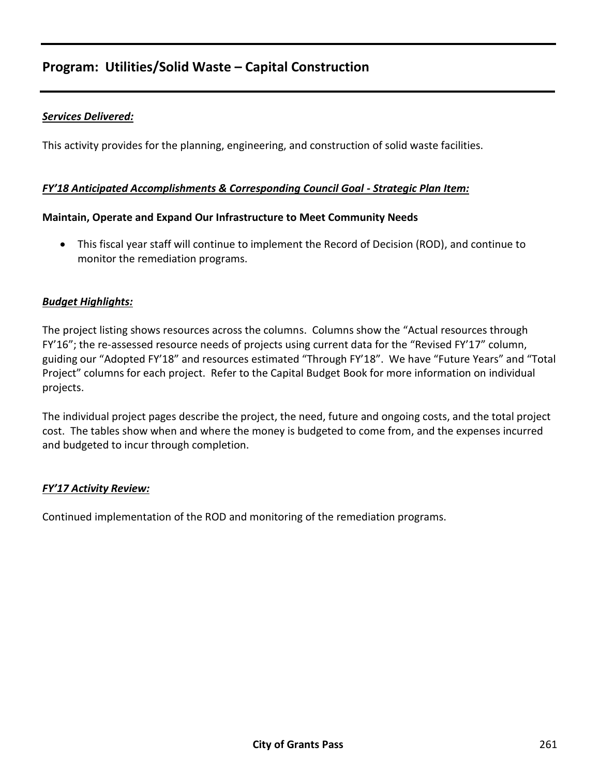## **Program: Utilities/Solid Waste – Capital Construction**

## *Services Delivered:*

This activity provides for the planning, engineering, and construction of solid waste facilities.

#### *FY'18 Anticipated Accomplishments & Corresponding Council Goal - Strategic Plan Item:*

#### **Maintain, Operate and Expand Our Infrastructure to Meet Community Needs**

 This fiscal year staff will continue to implement the Record of Decision (ROD), and continue to monitor the remediation programs.

#### *Budget Highlights:*

The project listing shows resources across the columns. Columns show the "Actual resources through FY'16"; the re-assessed resource needs of projects using current data for the "Revised FY'17" column, guiding our "Adopted FY'18" and resources estimated "Through FY'18". We have "Future Years" and "Total Project" columns for each project. Refer to the Capital Budget Book for more information on individual projects.

The individual project pages describe the project, the need, future and ongoing costs, and the total project cost. The tables show when and where the money is budgeted to come from, and the expenses incurred and budgeted to incur through completion.

#### *FY'17 Activity Review:*

Continued implementation of the ROD and monitoring of the remediation programs.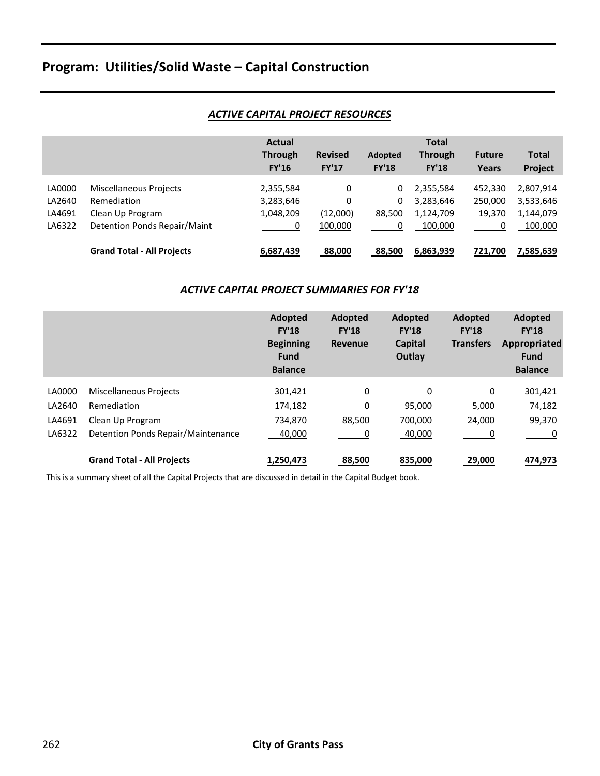# **Program: Utilities/Solid Waste – Capital Construction**

#### *ACTIVE CAPITAL PROJECT RESOURCES*

|                  |                                       | Actual<br><b>Through</b><br><b>FY'16</b> | <b>Revised</b><br><b>FY'17</b> | <b>Adopted</b><br><b>FY'18</b> | <b>Total</b><br><b>Through</b><br><b>FY'18</b> | <b>Future</b><br>Years | <b>Total</b><br><b>Project</b> |
|------------------|---------------------------------------|------------------------------------------|--------------------------------|--------------------------------|------------------------------------------------|------------------------|--------------------------------|
| LA0000<br>LA2640 | Miscellaneous Projects<br>Remediation | 2,355,584<br>3,283,646                   | 0<br>0                         | 0<br>0                         | 2,355,584<br>3,283,646                         | 452,330<br>250,000     | 2,807,914<br>3,533,646         |
| LA4691           | Clean Up Program                      | 1,048,209                                | (12,000)                       | 88,500                         | 1,124,709                                      | 19.370                 | 1,144,079                      |
| LA6322           | Detention Ponds Repair/Maint          | 0                                        | 100,000                        | 0                              | 100,000                                        | 0                      | 100,000                        |
|                  | <b>Grand Total - All Projects</b>     | 6,687,439                                | 88,000                         | 88,500                         | 6,863,939                                      | 721,700                | 7,585,639                      |

#### *ACTIVE CAPITAL PROJECT SUMMARIES FOR FY'18*

|        |                                    | Adopted<br><b>FY'18</b><br><b>Beginning</b><br><b>Fund</b><br><b>Balance</b> | Adopted<br><b>FY'18</b><br><b>Revenue</b> | Adopted<br><b>FY'18</b><br><b>Capital</b><br>Outlay | Adopted<br><b>FY'18</b><br><b>Transfers</b> | <b>Adopted</b><br><b>FY'18</b><br>Appropriated<br><b>Fund</b><br><b>Balance</b> |
|--------|------------------------------------|------------------------------------------------------------------------------|-------------------------------------------|-----------------------------------------------------|---------------------------------------------|---------------------------------------------------------------------------------|
| LA0000 | Miscellaneous Projects             | 301,421                                                                      | 0                                         | 0                                                   | 0                                           | 301,421                                                                         |
| LA2640 | Remediation                        | 174,182                                                                      | 0                                         | 95,000                                              | 5,000                                       | 74,182                                                                          |
| LA4691 | Clean Up Program                   | 734.870                                                                      | 88.500                                    | 700.000                                             | 24.000                                      | 99,370                                                                          |
| LA6322 | Detention Ponds Repair/Maintenance | 40,000                                                                       | 0                                         | 40,000                                              | 0                                           | 0                                                                               |
|        | <b>Grand Total - All Projects</b>  | 1,250,473                                                                    | <u>88,500</u>                             | 835,000                                             | 29,000                                      | 474,973                                                                         |

This is a summary sheet of all the Capital Projects that are discussed in detail in the Capital Budget book.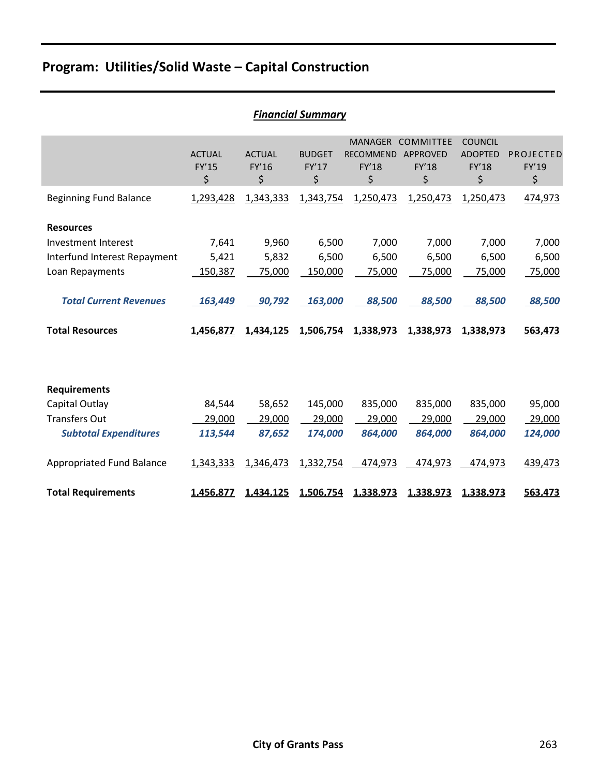# **Program: Utilities/Solid Waste – Capital Construction**

|                               |                                     |                              | i iliuliciul Juliililul y    |                                                          |                                                           |                                                        |                          |
|-------------------------------|-------------------------------------|------------------------------|------------------------------|----------------------------------------------------------|-----------------------------------------------------------|--------------------------------------------------------|--------------------------|
|                               | <b>ACTUAL</b><br><b>FY'15</b><br>\$ | <b>ACTUAL</b><br>FY'16<br>\$ | <b>BUDGET</b><br>FY'17<br>\$ | <b>MANAGER</b><br><b>RECOMMEND</b><br><b>FY'18</b><br>\$ | <b>COMMITTEE</b><br><b>APPROVED</b><br><b>FY'18</b><br>\$ | <b>COUNCIL</b><br><b>ADOPTED</b><br><b>FY'18</b><br>\$ | PROJECTED<br>FY'19<br>\$ |
| <b>Beginning Fund Balance</b> | 1,293,428                           | 1,343,333                    | 1,343,754                    | 1,250,473                                                | 1,250,473                                                 | 1,250,473                                              | 474,973                  |
| <b>Resources</b>              |                                     |                              |                              |                                                          |                                                           |                                                        |                          |
| Investment Interest           | 7,641                               | 9,960                        | 6,500                        | 7,000                                                    | 7,000                                                     | 7,000                                                  | 7,000                    |
| Interfund Interest Repayment  | 5,421                               | 5,832                        | 6,500                        | 6,500                                                    | 6,500                                                     | 6,500                                                  | 6,500                    |
| Loan Repayments               | 150,387                             | 75,000                       | 150,000                      | 75,000                                                   | 75,000                                                    | 75,000                                                 | 75,000                   |
| <b>Total Current Revenues</b> | 163,449                             | 90,792                       | 163,000                      | 88,500                                                   | 88,500                                                    | 88,500                                                 | 88,500                   |
| <b>Total Resources</b>        | 1,456,877                           | 1,434,125                    | 1,506,754                    | 1,338,973                                                | 1,338,973                                                 | 1,338,973                                              | 563,473                  |
|                               |                                     |                              |                              |                                                          |                                                           |                                                        |                          |
| <b>Requirements</b>           |                                     |                              |                              |                                                          |                                                           |                                                        |                          |
| Capital Outlay                | 84,544                              | 58,652                       | 145,000                      | 835,000                                                  | 835,000                                                   | 835,000                                                | 95,000                   |
| <b>Transfers Out</b>          | 29,000                              | 29,000                       | 29,000                       | 29,000                                                   | 29,000                                                    | 29,000                                                 | 29,000                   |
| <b>Subtotal Expenditures</b>  | 113,544                             | 87,652                       | 174,000                      | 864,000                                                  | 864,000                                                   | 864,000                                                | 124,000                  |
|                               |                                     |                              |                              |                                                          |                                                           |                                                        |                          |
| Appropriated Fund Balance     | 1,343,333                           | 1,346,473                    | 1,332,754                    | 474,973                                                  | 474,973                                                   | 474,973                                                | 439,473                  |

## *Financial Summary*